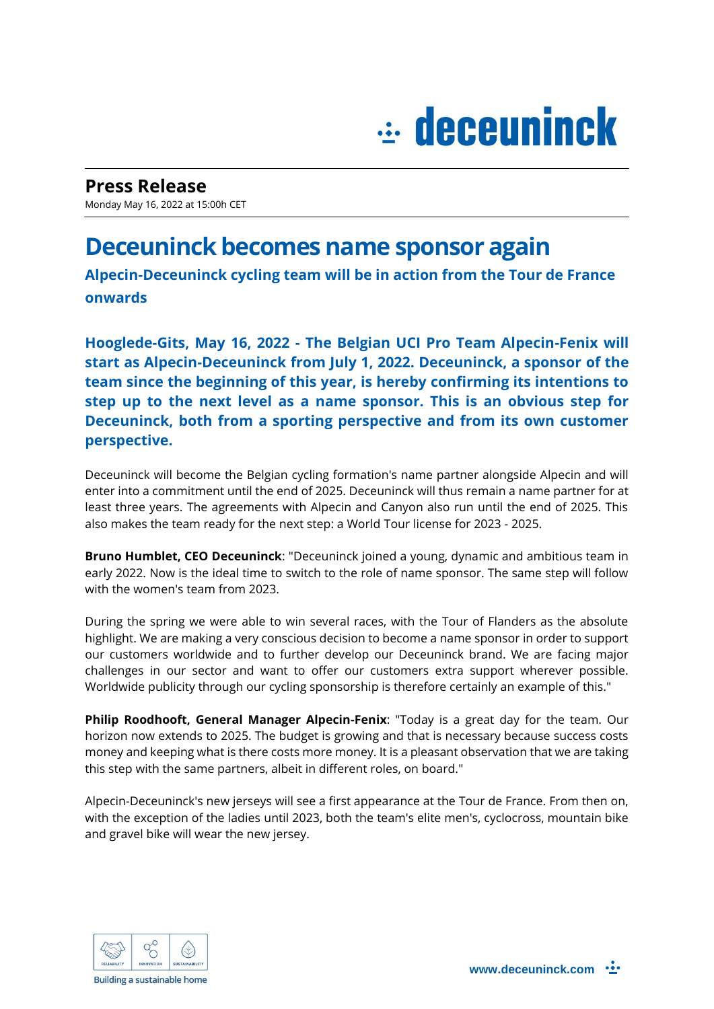## $\div$  deceuninck

**Press Release**  Monday May 16, 2022 at 15:00h CET

## **Deceuninck becomes name sponsor again**

**Alpecin-Deceuninck cycling team will be in action from the Tour de France onwards**

**Hooglede-Gits, May 16, 2022 - The Belgian UCI Pro Team Alpecin-Fenix will start as Alpecin-Deceuninck from July 1, 2022. Deceuninck, a sponsor of the team since the beginning of this year, is hereby confirming its intentions to step up to the next level as a name sponsor. This is an obvious step for Deceuninck, both from a sporting perspective and from its own customer perspective.**

Deceuninck will become the Belgian cycling formation's name partner alongside Alpecin and will enter into a commitment until the end of 2025. Deceuninck will thus remain a name partner for at least three years. The agreements with Alpecin and Canyon also run until the end of 2025. This also makes the team ready for the next step: a World Tour license for 2023 - 2025.

**Bruno Humblet, CEO Deceuninck**: "Deceuninck joined a young, dynamic and ambitious team in early 2022. Now is the ideal time to switch to the role of name sponsor. The same step will follow with the women's team from 2023.

During the spring we were able to win several races, with the Tour of Flanders as the absolute highlight. We are making a very conscious decision to become a name sponsor in order to support our customers worldwide and to further develop our Deceuninck brand. We are facing major challenges in our sector and want to offer our customers extra support wherever possible. Worldwide publicity through our cycling sponsorship is therefore certainly an example of this."

**Philip Roodhooft, General Manager Alpecin-Fenix**: "Today is a great day for the team. Our horizon now extends to 2025. The budget is growing and that is necessary because success costs money and keeping what is there costs more money. It is a pleasant observation that we are taking this step with the same partners, albeit in different roles, on board."

Alpecin-Deceuninck's new jerseys will see a first appearance at the Tour de France. From then on, with the exception of the ladies until 2023, both the team's elite men's, cyclocross, mountain bike and gravel bike will wear the new jersey.